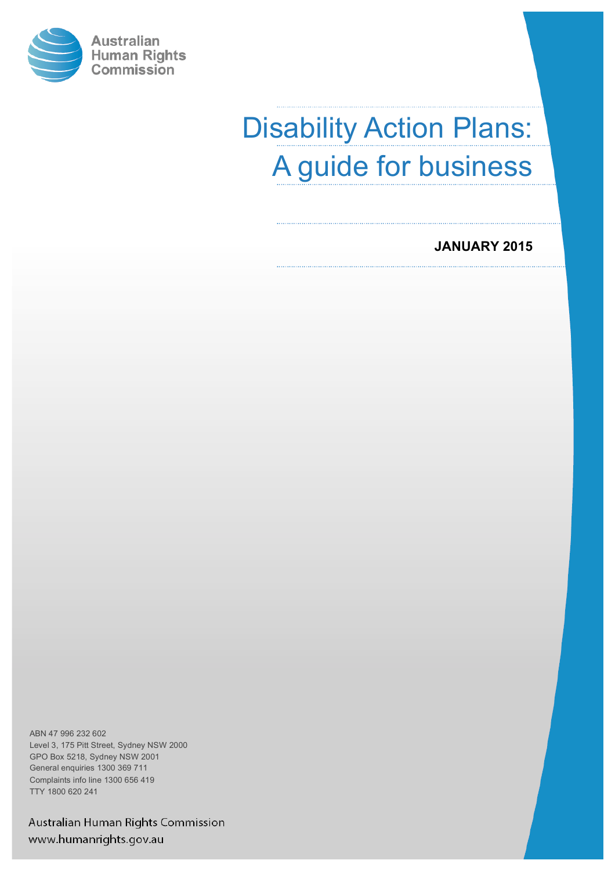

# Disability Action Plans: A guide for business

## **JANUARY 2015**

ABN 47 996 232 602 Level 3, 175 Pitt Street, Sydney NSW 2000 GPO Box 5218, Sydney NSW 2001 General enquiries 1300 369 711 Complaints info line 1300 656 419 TTY 1800 620 241

Australian Human Rights Commission www.humanrights.gov.au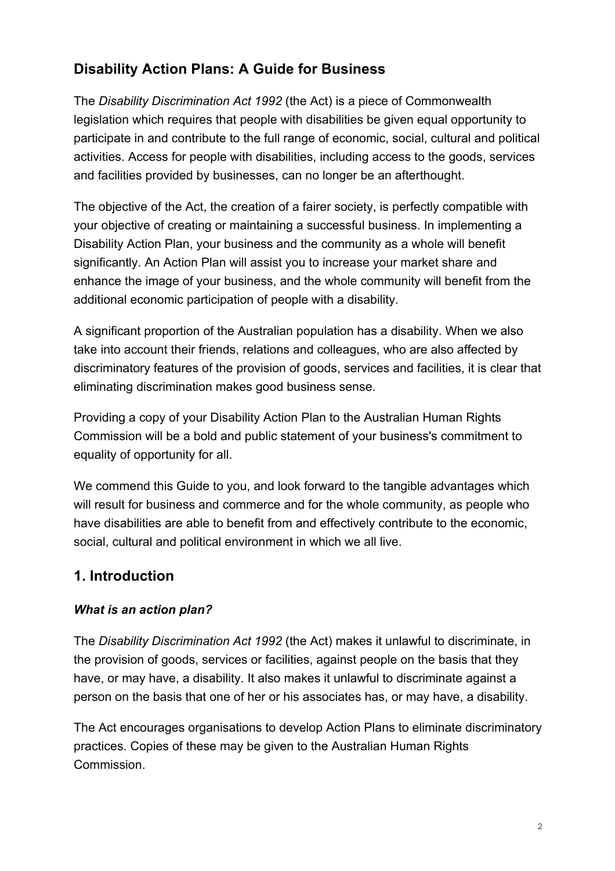# **Disability Action Plans: A Guide for Business**

The *Disability Discrimination Act 1992* (the Act) is a piece of Commonwealth legislation which requires that people with disabilities be given equal opportunity to participate in and contribute to the full range of economic, social, cultural and political activities. Access for people with disabilities, including access to the goods, services and facilities provided by businesses, can no longer be an afterthought.

The objective of the Act, the creation of a fairer society, is perfectly compatible with your objective of creating or maintaining a successful business. In implementing a Disability Action Plan, your business and the community as a whole will benefit significantly. An Action Plan will assist you to increase your market share and enhance the image of your business, and the whole community will benefit from the additional economic participation of people with a disability.

A significant proportion of the Australian population has a disability. When we also take into account their friends, relations and colleagues, who are also affected by discriminatory features of the provision of goods, services and facilities, it is clear that eliminating discrimination makes good business sense.

Providing a copy of your Disability Action Plan to the Australian Human Rights Commission will be a bold and public statement of your business's commitment to equality of opportunity for all.

We commend this Guide to you, and look forward to the tangible advantages which will result for business and commerce and for the whole community, as people who have disabilities are able to benefit from and effectively contribute to the economic, social, cultural and political environment in which we all live.

## **1. Introduction**

## *What is an action plan?*

The *Disability Discrimination Act 1992* (the Act) makes it unlawful to discriminate, in the provision of goods, services or facilities, against people on the basis that they have, or may have, a disability. It also makes it unlawful to discriminate against a person on the basis that one of her or his associates has, or may have, a disability.

The Act encourages organisations to develop Action Plans to eliminate discriminatory practices. Copies of these may be given to the Australian Human Rights Commission.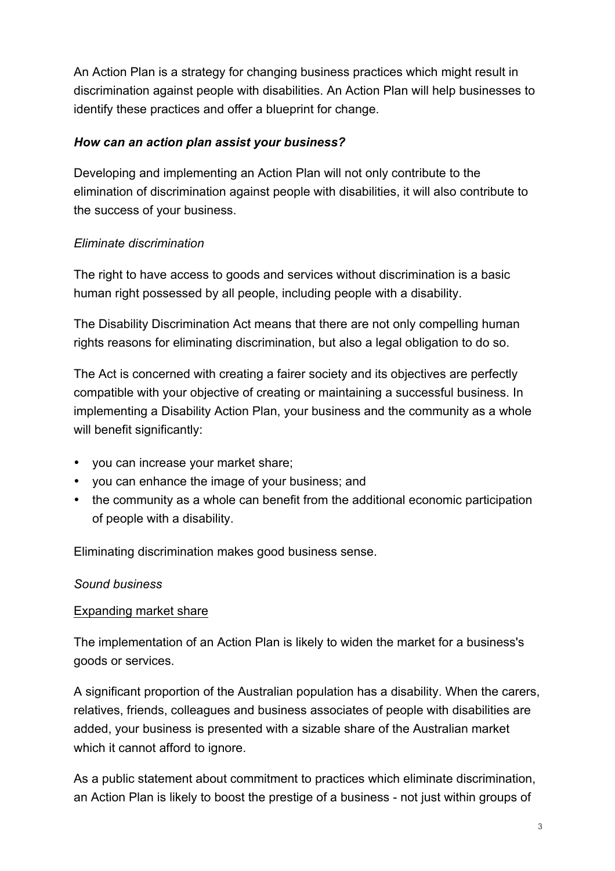An Action Plan is a strategy for changing business practices which might result in discrimination against people with disabilities. An Action Plan will help businesses to identify these practices and offer a blueprint for change.

## *How can an action plan assist your business?*

Developing and implementing an Action Plan will not only contribute to the elimination of discrimination against people with disabilities, it will also contribute to the success of your business.

#### *Eliminate discrimination*

The right to have access to goods and services without discrimination is a basic human right possessed by all people, including people with a disability.

The Disability Discrimination Act means that there are not only compelling human rights reasons for eliminating discrimination, but also a legal obligation to do so.

The Act is concerned with creating a fairer society and its objectives are perfectly compatible with your objective of creating or maintaining a successful business. In implementing a Disability Action Plan, your business and the community as a whole will benefit significantly:

- you can increase your market share;
- you can enhance the image of your business; and
- the community as a whole can benefit from the additional economic participation of people with a disability.

Eliminating discrimination makes good business sense.

#### *Sound business*

#### Expanding market share

The implementation of an Action Plan is likely to widen the market for a business's goods or services.

A significant proportion of the Australian population has a disability. When the carers, relatives, friends, colleagues and business associates of people with disabilities are added, your business is presented with a sizable share of the Australian market which it cannot afford to ignore.

As a public statement about commitment to practices which eliminate discrimination, an Action Plan is likely to boost the prestige of a business - not just within groups of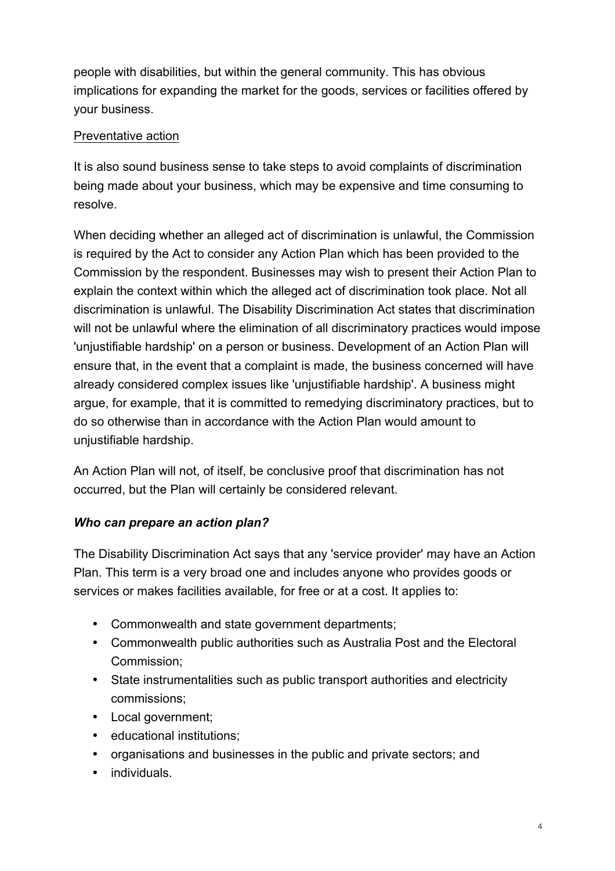people with disabilities, but within the general community. This has obvious implications for expanding the market for the goods, services or facilities offered by your business.

## Preventative action

It is also sound business sense to take steps to avoid complaints of discrimination being made about your business, which may be expensive and time consuming to resolve.

When deciding whether an alleged act of discrimination is unlawful, the Commission is required by the Act to consider any Action Plan which has been provided to the Commission by the respondent. Businesses may wish to present their Action Plan to explain the context within which the alleged act of discrimination took place. Not all discrimination is unlawful. The Disability Discrimination Act states that discrimination will not be unlawful where the elimination of all discriminatory practices would impose 'unjustifiable hardship' on a person or business. Development of an Action Plan will ensure that, in the event that a complaint is made, the business concerned will have already considered complex issues like 'unjustifiable hardship'. A business might argue, for example, that it is committed to remedying discriminatory practices, but to do so otherwise than in accordance with the Action Plan would amount to unjustifiable hardship.

An Action Plan will not, of itself, be conclusive proof that discrimination has not occurred, but the Plan will certainly be considered relevant.

## *Who can prepare an action plan?*

The Disability Discrimination Act says that any 'service provider' may have an Action Plan. This term is a very broad one and includes anyone who provides goods or services or makes facilities available, for free or at a cost. It applies to:

- Commonwealth and state government departments;
- Commonwealth public authorities such as Australia Post and the Electoral Commission;
- State instrumentalities such as public transport authorities and electricity commissions;
- Local government;
- educational institutions;
- organisations and businesses in the public and private sectors; and
- individuals.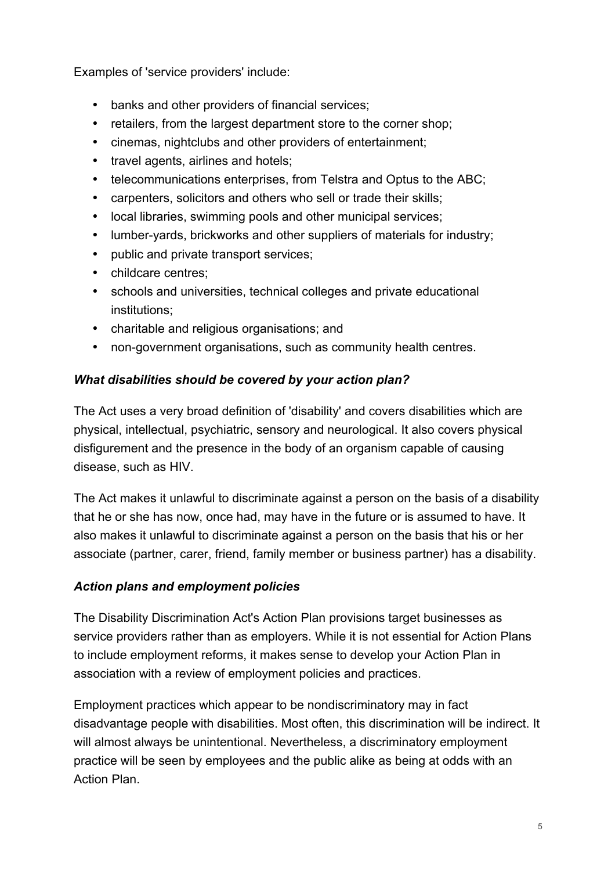Examples of 'service providers' include:

- banks and other providers of financial services;
- retailers, from the largest department store to the corner shop;
- cinemas, nightclubs and other providers of entertainment;
- travel agents, airlines and hotels;
- telecommunications enterprises, from Telstra and Optus to the ABC;
- carpenters, solicitors and others who sell or trade their skills;
- local libraries, swimming pools and other municipal services;
- lumber-yards, brickworks and other suppliers of materials for industry;
- public and private transport services;
- childcare centres:
- schools and universities, technical colleges and private educational institutions;
- charitable and religious organisations; and
- non-government organisations, such as community health centres.

#### *What disabilities should be covered by your action plan?*

The Act uses a very broad definition of 'disability' and covers disabilities which are physical, intellectual, psychiatric, sensory and neurological. It also covers physical disfigurement and the presence in the body of an organism capable of causing disease, such as HIV.

The Act makes it unlawful to discriminate against a person on the basis of a disability that he or she has now, once had, may have in the future or is assumed to have. It also makes it unlawful to discriminate against a person on the basis that his or her associate (partner, carer, friend, family member or business partner) has a disability.

## *Action plans and employment policies*

The Disability Discrimination Act's Action Plan provisions target businesses as service providers rather than as employers. While it is not essential for Action Plans to include employment reforms, it makes sense to develop your Action Plan in association with a review of employment policies and practices.

Employment practices which appear to be nondiscriminatory may in fact disadvantage people with disabilities. Most often, this discrimination will be indirect. It will almost always be unintentional. Nevertheless, a discriminatory employment practice will be seen by employees and the public alike as being at odds with an Action Plan.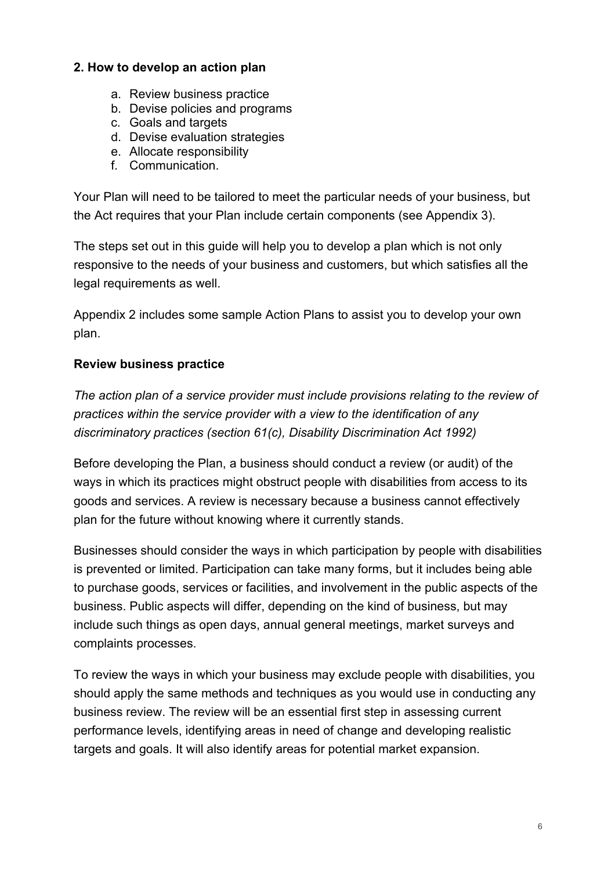#### **2. How to develop an action plan**

- a. Review business practice
- b. Devise policies and programs
- c. Goals and targets
- d. Devise evaluation strategies
- e. Allocate responsibility
- f. Communication.

Your Plan will need to be tailored to meet the particular needs of your business, but the Act requires that your Plan include certain components (see Appendix 3).

The steps set out in this guide will help you to develop a plan which is not only responsive to the needs of your business and customers, but which satisfies all the legal requirements as well.

Appendix 2 includes some sample Action Plans to assist you to develop your own plan.

#### **Review business practice**

*The action plan of a service provider must include provisions relating to the review of practices within the service provider with a view to the identification of any discriminatory practices (section 61(c), Disability Discrimination Act 1992)*

Before developing the Plan, a business should conduct a review (or audit) of the ways in which its practices might obstruct people with disabilities from access to its goods and services. A review is necessary because a business cannot effectively plan for the future without knowing where it currently stands.

Businesses should consider the ways in which participation by people with disabilities is prevented or limited. Participation can take many forms, but it includes being able to purchase goods, services or facilities, and involvement in the public aspects of the business. Public aspects will differ, depending on the kind of business, but may include such things as open days, annual general meetings, market surveys and complaints processes.

To review the ways in which your business may exclude people with disabilities, you should apply the same methods and techniques as you would use in conducting any business review. The review will be an essential first step in assessing current performance levels, identifying areas in need of change and developing realistic targets and goals. It will also identify areas for potential market expansion.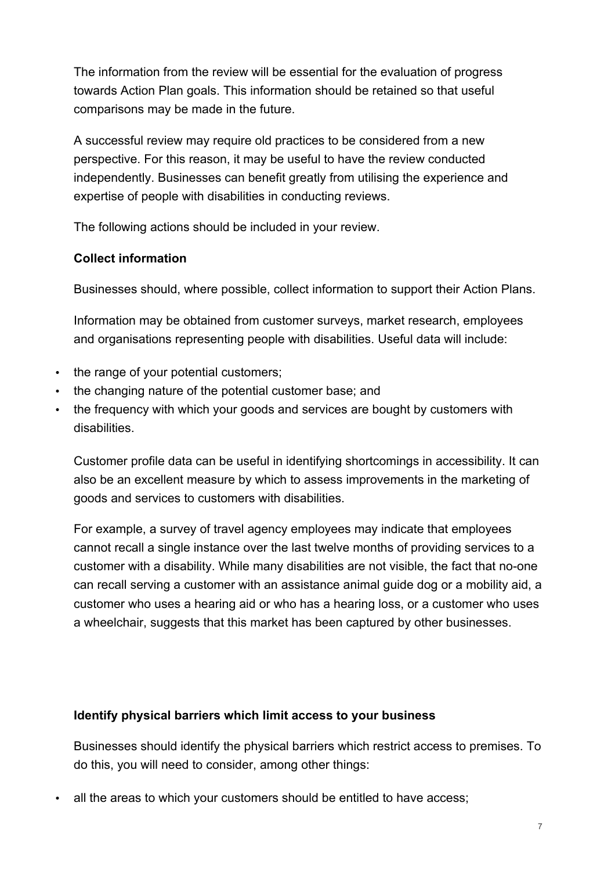The information from the review will be essential for the evaluation of progress towards Action Plan goals. This information should be retained so that useful comparisons may be made in the future.

A successful review may require old practices to be considered from a new perspective. For this reason, it may be useful to have the review conducted independently. Businesses can benefit greatly from utilising the experience and expertise of people with disabilities in conducting reviews.

The following actions should be included in your review.

## **Collect information**

Businesses should, where possible, collect information to support their Action Plans.

Information may be obtained from customer surveys, market research, employees and organisations representing people with disabilities. Useful data will include:

- the range of your potential customers;
- the changing nature of the potential customer base; and
- the frequency with which your goods and services are bought by customers with disabilities.

Customer profile data can be useful in identifying shortcomings in accessibility. It can also be an excellent measure by which to assess improvements in the marketing of goods and services to customers with disabilities.

For example, a survey of travel agency employees may indicate that employees cannot recall a single instance over the last twelve months of providing services to a customer with a disability. While many disabilities are not visible, the fact that no-one can recall serving a customer with an assistance animal guide dog or a mobility aid, a customer who uses a hearing aid or who has a hearing loss, or a customer who uses a wheelchair, suggests that this market has been captured by other businesses.

#### **Identify physical barriers which limit access to your business**

Businesses should identify the physical barriers which restrict access to premises. To do this, you will need to consider, among other things:

all the areas to which your customers should be entitled to have access;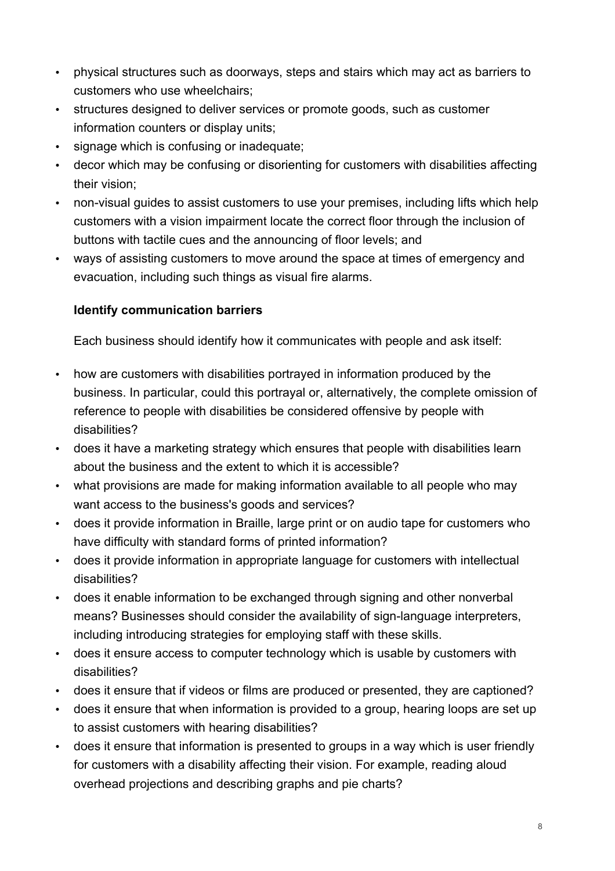- physical structures such as doorways, steps and stairs which may act as barriers to customers who use wheelchairs;
- structures designed to deliver services or promote goods, such as customer information counters or display units;
- signage which is confusing or inadequate;
- decor which may be confusing or disorienting for customers with disabilities affecting their vision;
- non-visual guides to assist customers to use your premises, including lifts which help customers with a vision impairment locate the correct floor through the inclusion of buttons with tactile cues and the announcing of floor levels; and
- ways of assisting customers to move around the space at times of emergency and evacuation, including such things as visual fire alarms.

## **Identify communication barriers**

Each business should identify how it communicates with people and ask itself:

- how are customers with disabilities portrayed in information produced by the business. In particular, could this portrayal or, alternatively, the complete omission of reference to people with disabilities be considered offensive by people with disabilities?
- does it have a marketing strategy which ensures that people with disabilities learn about the business and the extent to which it is accessible?
- what provisions are made for making information available to all people who may want access to the business's goods and services?
- does it provide information in Braille, large print or on audio tape for customers who have difficulty with standard forms of printed information?
- does it provide information in appropriate language for customers with intellectual disabilities?
- does it enable information to be exchanged through signing and other nonverbal means? Businesses should consider the availability of sign-language interpreters, including introducing strategies for employing staff with these skills.
- does it ensure access to computer technology which is usable by customers with disabilities?
- does it ensure that if videos or films are produced or presented, they are captioned?
- does it ensure that when information is provided to a group, hearing loops are set up to assist customers with hearing disabilities?
- does it ensure that information is presented to groups in a way which is user friendly for customers with a disability affecting their vision. For example, reading aloud overhead projections and describing graphs and pie charts?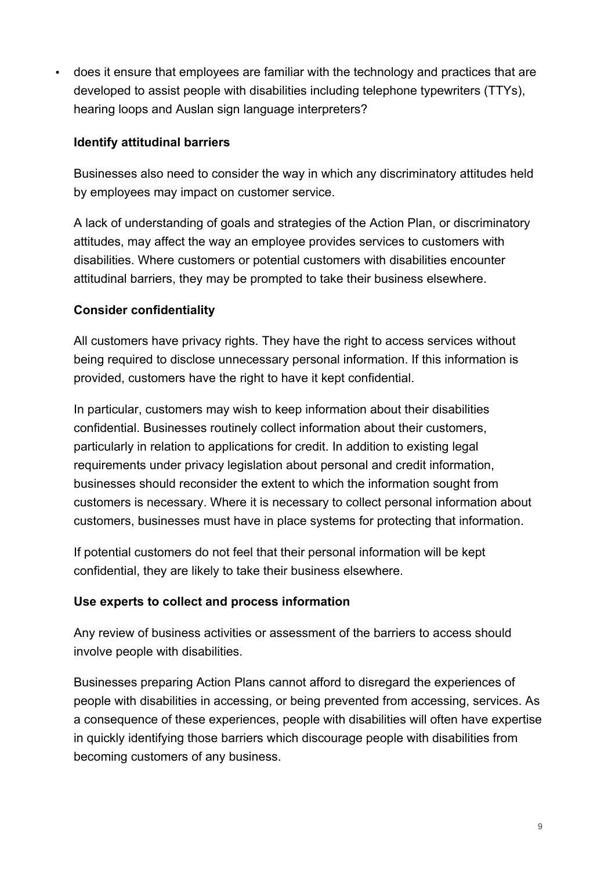• does it ensure that employees are familiar with the technology and practices that are developed to assist people with disabilities including telephone typewriters (TTYs), hearing loops and Auslan sign language interpreters?

#### **Identify attitudinal barriers**

Businesses also need to consider the way in which any discriminatory attitudes held by employees may impact on customer service.

A lack of understanding of goals and strategies of the Action Plan, or discriminatory attitudes, may affect the way an employee provides services to customers with disabilities. Where customers or potential customers with disabilities encounter attitudinal barriers, they may be prompted to take their business elsewhere.

#### **Consider confidentiality**

All customers have privacy rights. They have the right to access services without being required to disclose unnecessary personal information. If this information is provided, customers have the right to have it kept confidential.

In particular, customers may wish to keep information about their disabilities confidential. Businesses routinely collect information about their customers, particularly in relation to applications for credit. In addition to existing legal requirements under privacy legislation about personal and credit information, businesses should reconsider the extent to which the information sought from customers is necessary. Where it is necessary to collect personal information about customers, businesses must have in place systems for protecting that information.

If potential customers do not feel that their personal information will be kept confidential, they are likely to take their business elsewhere.

#### **Use experts to collect and process information**

Any review of business activities or assessment of the barriers to access should involve people with disabilities.

Businesses preparing Action Plans cannot afford to disregard the experiences of people with disabilities in accessing, or being prevented from accessing, services. As a consequence of these experiences, people with disabilities will often have expertise in quickly identifying those barriers which discourage people with disabilities from becoming customers of any business.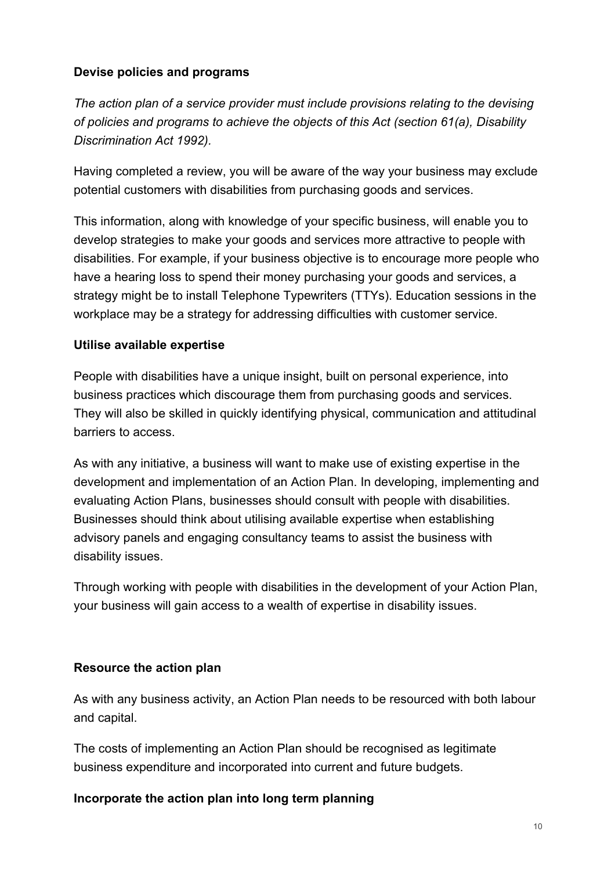## **Devise policies and programs**

*The action plan of a service provider must include provisions relating to the devising of policies and programs to achieve the objects of this Act (section 61(a), Disability Discrimination Act 1992).*

Having completed a review, you will be aware of the way your business may exclude potential customers with disabilities from purchasing goods and services.

This information, along with knowledge of your specific business, will enable you to develop strategies to make your goods and services more attractive to people with disabilities. For example, if your business objective is to encourage more people who have a hearing loss to spend their money purchasing your goods and services, a strategy might be to install Telephone Typewriters (TTYs). Education sessions in the workplace may be a strategy for addressing difficulties with customer service.

#### **Utilise available expertise**

People with disabilities have a unique insight, built on personal experience, into business practices which discourage them from purchasing goods and services. They will also be skilled in quickly identifying physical, communication and attitudinal barriers to access.

As with any initiative, a business will want to make use of existing expertise in the development and implementation of an Action Plan. In developing, implementing and evaluating Action Plans, businesses should consult with people with disabilities. Businesses should think about utilising available expertise when establishing advisory panels and engaging consultancy teams to assist the business with disability issues.

Through working with people with disabilities in the development of your Action Plan, your business will gain access to a wealth of expertise in disability issues.

#### **Resource the action plan**

As with any business activity, an Action Plan needs to be resourced with both labour and capital.

The costs of implementing an Action Plan should be recognised as legitimate business expenditure and incorporated into current and future budgets.

#### **Incorporate the action plan into long term planning**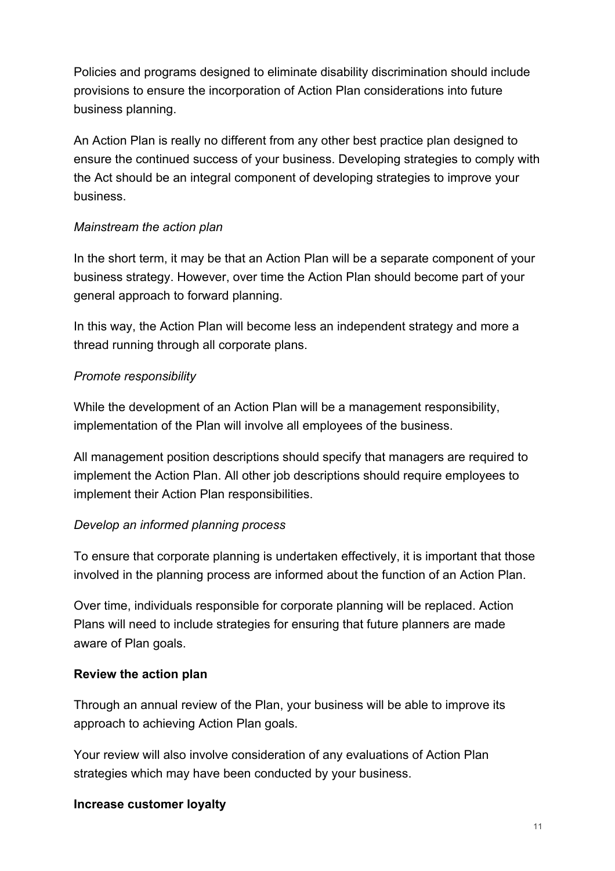Policies and programs designed to eliminate disability discrimination should include provisions to ensure the incorporation of Action Plan considerations into future business planning.

An Action Plan is really no different from any other best practice plan designed to ensure the continued success of your business. Developing strategies to comply with the Act should be an integral component of developing strategies to improve your business.

#### *Mainstream the action plan*

In the short term, it may be that an Action Plan will be a separate component of your business strategy. However, over time the Action Plan should become part of your general approach to forward planning.

In this way, the Action Plan will become less an independent strategy and more a thread running through all corporate plans.

## *Promote responsibility*

While the development of an Action Plan will be a management responsibility, implementation of the Plan will involve all employees of the business.

All management position descriptions should specify that managers are required to implement the Action Plan. All other job descriptions should require employees to implement their Action Plan responsibilities.

#### *Develop an informed planning process*

To ensure that corporate planning is undertaken effectively, it is important that those involved in the planning process are informed about the function of an Action Plan.

Over time, individuals responsible for corporate planning will be replaced. Action Plans will need to include strategies for ensuring that future planners are made aware of Plan goals.

#### **Review the action plan**

Through an annual review of the Plan, your business will be able to improve its approach to achieving Action Plan goals.

Your review will also involve consideration of any evaluations of Action Plan strategies which may have been conducted by your business.

#### **Increase customer loyalty**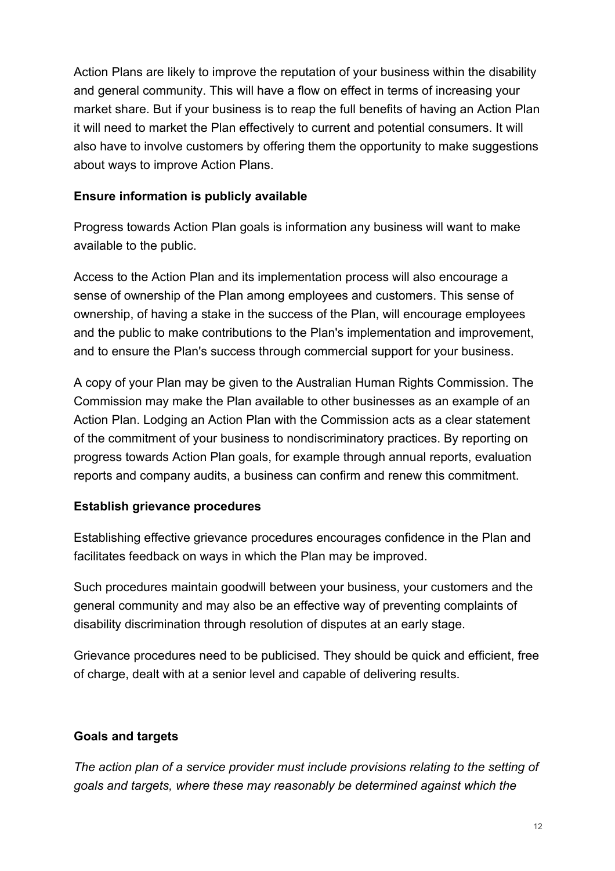Action Plans are likely to improve the reputation of your business within the disability and general community. This will have a flow on effect in terms of increasing your market share. But if your business is to reap the full benefits of having an Action Plan it will need to market the Plan effectively to current and potential consumers. It will also have to involve customers by offering them the opportunity to make suggestions about ways to improve Action Plans.

#### **Ensure information is publicly available**

Progress towards Action Plan goals is information any business will want to make available to the public.

Access to the Action Plan and its implementation process will also encourage a sense of ownership of the Plan among employees and customers. This sense of ownership, of having a stake in the success of the Plan, will encourage employees and the public to make contributions to the Plan's implementation and improvement, and to ensure the Plan's success through commercial support for your business.

A copy of your Plan may be given to the Australian Human Rights Commission. The Commission may make the Plan available to other businesses as an example of an Action Plan. Lodging an Action Plan with the Commission acts as a clear statement of the commitment of your business to nondiscriminatory practices. By reporting on progress towards Action Plan goals, for example through annual reports, evaluation reports and company audits, a business can confirm and renew this commitment.

## **Establish grievance procedures**

Establishing effective grievance procedures encourages confidence in the Plan and facilitates feedback on ways in which the Plan may be improved.

Such procedures maintain goodwill between your business, your customers and the general community and may also be an effective way of preventing complaints of disability discrimination through resolution of disputes at an early stage.

Grievance procedures need to be publicised. They should be quick and efficient, free of charge, dealt with at a senior level and capable of delivering results.

## **Goals and targets**

*The action plan of a service provider must include provisions relating to the setting of goals and targets, where these may reasonably be determined against which the*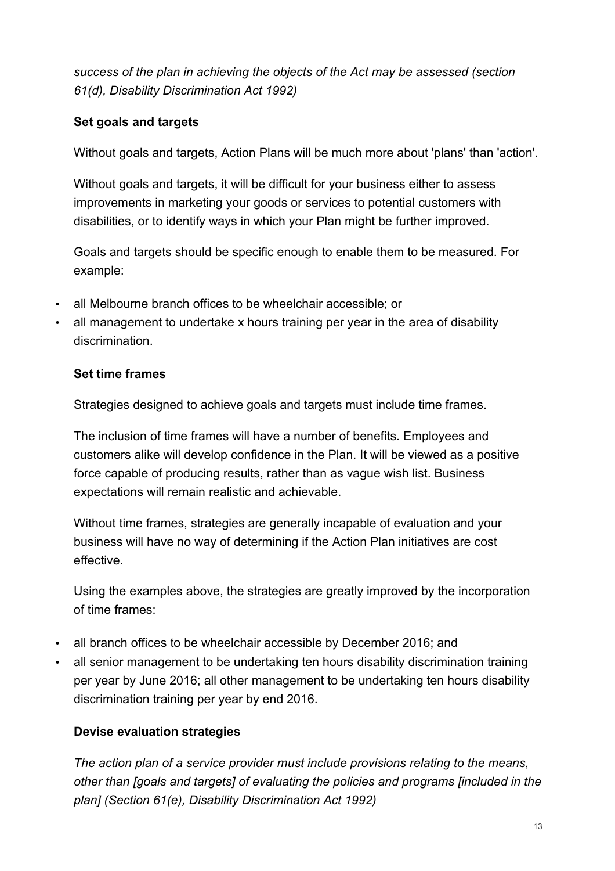*success of the plan in achieving the objects of the Act may be assessed (section 61(d), Disability Discrimination Act 1992)*

## **Set goals and targets**

Without goals and targets, Action Plans will be much more about 'plans' than 'action'.

Without goals and targets, it will be difficult for your business either to assess improvements in marketing your goods or services to potential customers with disabilities, or to identify ways in which your Plan might be further improved.

Goals and targets should be specific enough to enable them to be measured. For example:

- all Melbourne branch offices to be wheelchair accessible; or
- all management to undertake x hours training per year in the area of disability discrimination.

#### **Set time frames**

Strategies designed to achieve goals and targets must include time frames.

The inclusion of time frames will have a number of benefits. Employees and customers alike will develop confidence in the Plan. It will be viewed as a positive force capable of producing results, rather than as vague wish list. Business expectations will remain realistic and achievable.

Without time frames, strategies are generally incapable of evaluation and your business will have no way of determining if the Action Plan initiatives are cost effective.

Using the examples above, the strategies are greatly improved by the incorporation of time frames:

- all branch offices to be wheelchair accessible by December 2016; and
- all senior management to be undertaking ten hours disability discrimination training per year by June 2016; all other management to be undertaking ten hours disability discrimination training per year by end 2016.

## **Devise evaluation strategies**

*The action plan of a service provider must include provisions relating to the means, other than [goals and targets] of evaluating the policies and programs [included in the plan] (Section 61(e), Disability Discrimination Act 1992)*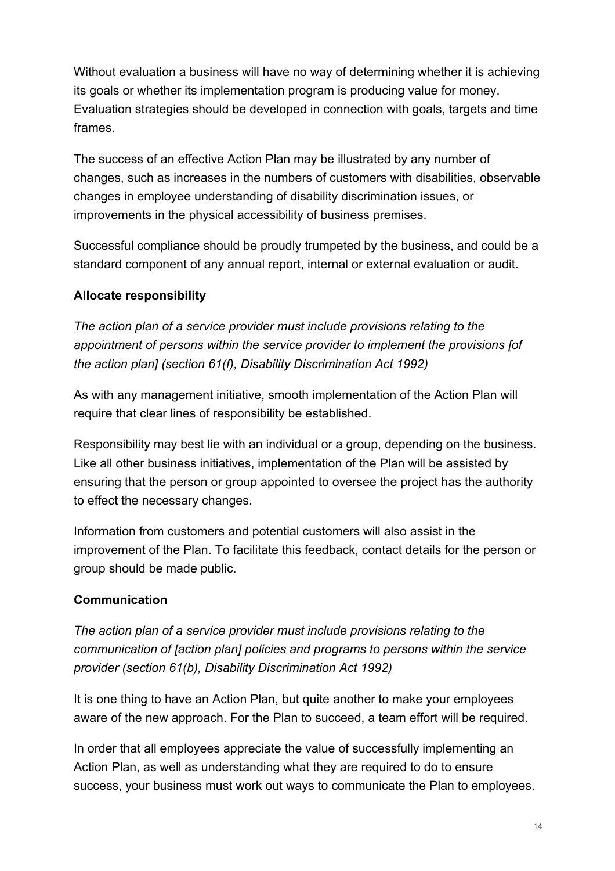Without evaluation a business will have no way of determining whether it is achieving its goals or whether its implementation program is producing value for money. Evaluation strategies should be developed in connection with goals, targets and time frames.

The success of an effective Action Plan may be illustrated by any number of changes, such as increases in the numbers of customers with disabilities, observable changes in employee understanding of disability discrimination issues, or improvements in the physical accessibility of business premises.

Successful compliance should be proudly trumpeted by the business, and could be a standard component of any annual report, internal or external evaluation or audit.

## **Allocate responsibility**

*The action plan of a service provider must include provisions relating to the appointment of persons within the service provider to implement the provisions [of the action plan] (section 61(f), Disability Discrimination Act 1992)*

As with any management initiative, smooth implementation of the Action Plan will require that clear lines of responsibility be established.

Responsibility may best lie with an individual or a group, depending on the business. Like all other business initiatives, implementation of the Plan will be assisted by ensuring that the person or group appointed to oversee the project has the authority to effect the necessary changes.

Information from customers and potential customers will also assist in the improvement of the Plan. To facilitate this feedback, contact details for the person or group should be made public.

## **Communication**

*The action plan of a service provider must include provisions relating to the communication of [action plan] policies and programs to persons within the service provider (section 61(b), Disability Discrimination Act 1992)*

It is one thing to have an Action Plan, but quite another to make your employees aware of the new approach. For the Plan to succeed, a team effort will be required.

In order that all employees appreciate the value of successfully implementing an Action Plan, as well as understanding what they are required to do to ensure success, your business must work out ways to communicate the Plan to employees.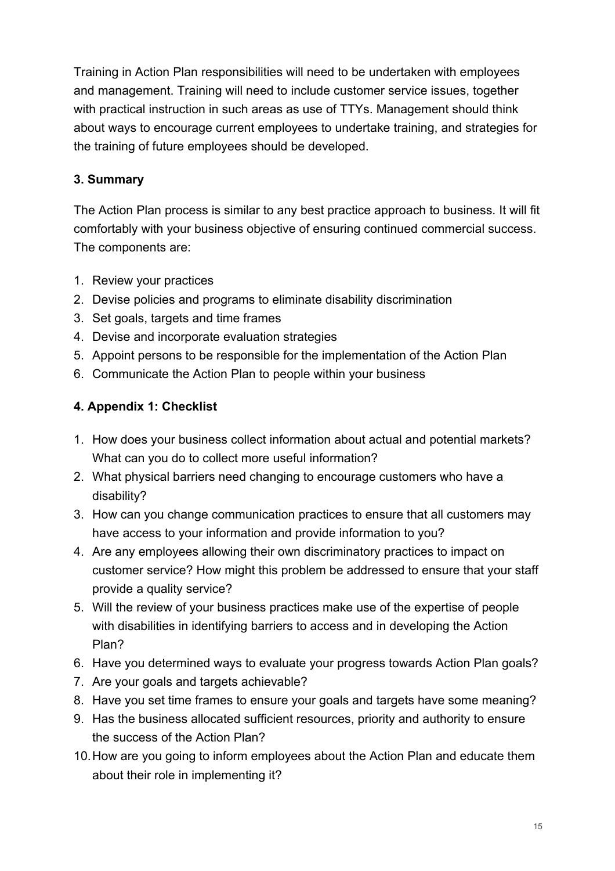Training in Action Plan responsibilities will need to be undertaken with employees and management. Training will need to include customer service issues, together with practical instruction in such areas as use of TTYs. Management should think about ways to encourage current employees to undertake training, and strategies for the training of future employees should be developed.

## **3. Summary**

The Action Plan process is similar to any best practice approach to business. It will fit comfortably with your business objective of ensuring continued commercial success. The components are:

- 1. Review your practices
- 2. Devise policies and programs to eliminate disability discrimination
- 3. Set goals, targets and time frames
- 4. Devise and incorporate evaluation strategies
- 5. Appoint persons to be responsible for the implementation of the Action Plan
- 6. Communicate the Action Plan to people within your business

## **4. Appendix 1: Checklist**

- 1. How does your business collect information about actual and potential markets? What can you do to collect more useful information?
- 2. What physical barriers need changing to encourage customers who have a disability?
- 3. How can you change communication practices to ensure that all customers may have access to your information and provide information to you?
- 4. Are any employees allowing their own discriminatory practices to impact on customer service? How might this problem be addressed to ensure that your staff provide a quality service?
- 5. Will the review of your business practices make use of the expertise of people with disabilities in identifying barriers to access and in developing the Action Plan?
- 6. Have you determined ways to evaluate your progress towards Action Plan goals?
- 7. Are your goals and targets achievable?
- 8. Have you set time frames to ensure your goals and targets have some meaning?
- 9. Has the business allocated sufficient resources, priority and authority to ensure the success of the Action Plan?
- 10.How are you going to inform employees about the Action Plan and educate them about their role in implementing it?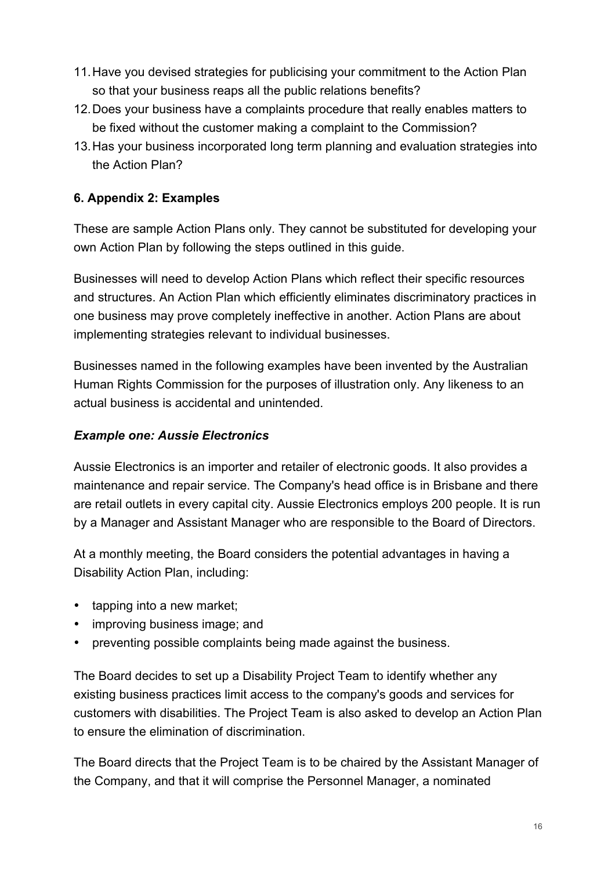- 11.Have you devised strategies for publicising your commitment to the Action Plan so that your business reaps all the public relations benefits?
- 12.Does your business have a complaints procedure that really enables matters to be fixed without the customer making a complaint to the Commission?
- 13.Has your business incorporated long term planning and evaluation strategies into the Action Plan?

## **6. Appendix 2: Examples**

These are sample Action Plans only. They cannot be substituted for developing your own Action Plan by following the steps outlined in this guide.

Businesses will need to develop Action Plans which reflect their specific resources and structures. An Action Plan which efficiently eliminates discriminatory practices in one business may prove completely ineffective in another. Action Plans are about implementing strategies relevant to individual businesses.

Businesses named in the following examples have been invented by the Australian Human Rights Commission for the purposes of illustration only. Any likeness to an actual business is accidental and unintended.

## *Example one: Aussie Electronics*

Aussie Electronics is an importer and retailer of electronic goods. It also provides a maintenance and repair service. The Company's head office is in Brisbane and there are retail outlets in every capital city. Aussie Electronics employs 200 people. It is run by a Manager and Assistant Manager who are responsible to the Board of Directors.

At a monthly meeting, the Board considers the potential advantages in having a Disability Action Plan, including:

- tapping into a new market;
- improving business image; and
- preventing possible complaints being made against the business.

The Board decides to set up a Disability Project Team to identify whether any existing business practices limit access to the company's goods and services for customers with disabilities. The Project Team is also asked to develop an Action Plan to ensure the elimination of discrimination.

The Board directs that the Project Team is to be chaired by the Assistant Manager of the Company, and that it will comprise the Personnel Manager, a nominated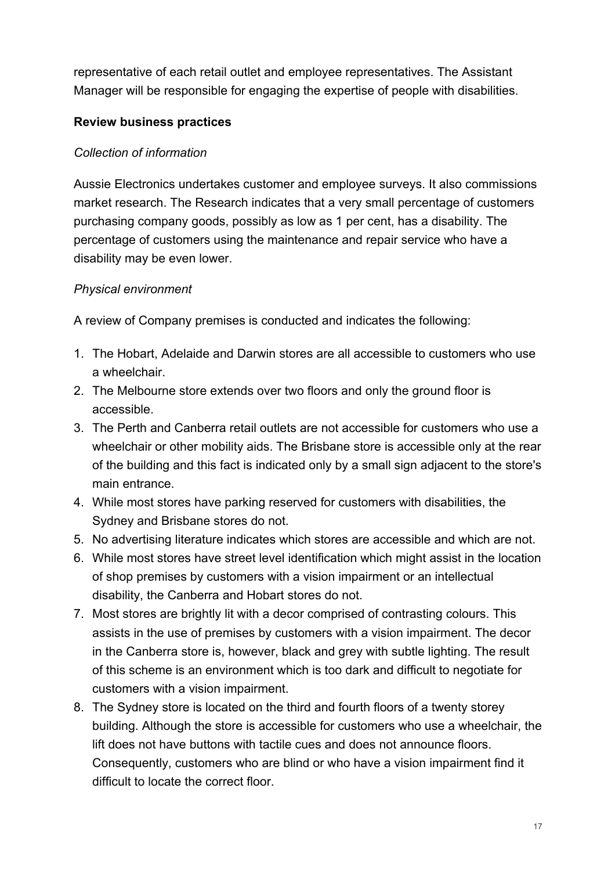representative of each retail outlet and employee representatives. The Assistant Manager will be responsible for engaging the expertise of people with disabilities.

## **Review business practices**

## *Collection of information*

Aussie Electronics undertakes customer and employee surveys. It also commissions market research. The Research indicates that a very small percentage of customers purchasing company goods, possibly as low as 1 per cent, has a disability. The percentage of customers using the maintenance and repair service who have a disability may be even lower.

#### *Physical environment*

A review of Company premises is conducted and indicates the following:

- 1. The Hobart, Adelaide and Darwin stores are all accessible to customers who use a wheelchair.
- 2. The Melbourne store extends over two floors and only the ground floor is accessible.
- 3. The Perth and Canberra retail outlets are not accessible for customers who use a wheelchair or other mobility aids. The Brisbane store is accessible only at the rear of the building and this fact is indicated only by a small sign adjacent to the store's main entrance.
- 4. While most stores have parking reserved for customers with disabilities, the Sydney and Brisbane stores do not.
- 5. No advertising literature indicates which stores are accessible and which are not.
- 6. While most stores have street level identification which might assist in the location of shop premises by customers with a vision impairment or an intellectual disability, the Canberra and Hobart stores do not.
- 7. Most stores are brightly lit with a decor comprised of contrasting colours. This assists in the use of premises by customers with a vision impairment. The decor in the Canberra store is, however, black and grey with subtle lighting. The result of this scheme is an environment which is too dark and difficult to negotiate for customers with a vision impairment.
- 8. The Sydney store is located on the third and fourth floors of a twenty storey building. Although the store is accessible for customers who use a wheelchair, the lift does not have buttons with tactile cues and does not announce floors. Consequently, customers who are blind or who have a vision impairment find it difficult to locate the correct floor.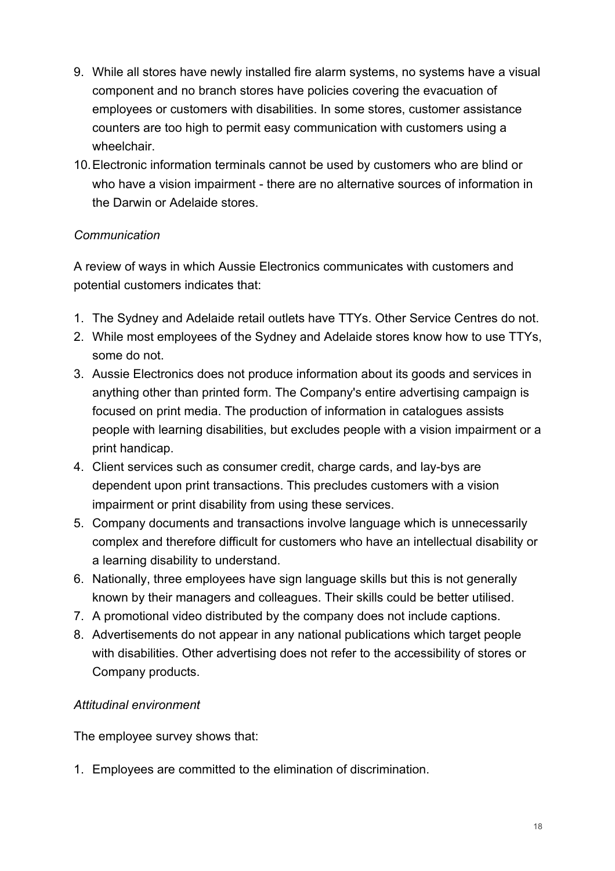- 9. While all stores have newly installed fire alarm systems, no systems have a visual component and no branch stores have policies covering the evacuation of employees or customers with disabilities. In some stores, customer assistance counters are too high to permit easy communication with customers using a wheelchair.
- 10.Electronic information terminals cannot be used by customers who are blind or who have a vision impairment - there are no alternative sources of information in the Darwin or Adelaide stores.

## *Communication*

A review of ways in which Aussie Electronics communicates with customers and potential customers indicates that:

- 1. The Sydney and Adelaide retail outlets have TTYs. Other Service Centres do not.
- 2. While most employees of the Sydney and Adelaide stores know how to use TTYs, some do not.
- 3. Aussie Electronics does not produce information about its goods and services in anything other than printed form. The Company's entire advertising campaign is focused on print media. The production of information in catalogues assists people with learning disabilities, but excludes people with a vision impairment or a print handicap.
- 4. Client services such as consumer credit, charge cards, and lay-bys are dependent upon print transactions. This precludes customers with a vision impairment or print disability from using these services.
- 5. Company documents and transactions involve language which is unnecessarily complex and therefore difficult for customers who have an intellectual disability or a learning disability to understand.
- 6. Nationally, three employees have sign language skills but this is not generally known by their managers and colleagues. Their skills could be better utilised.
- 7. A promotional video distributed by the company does not include captions.
- 8. Advertisements do not appear in any national publications which target people with disabilities. Other advertising does not refer to the accessibility of stores or Company products.

## *Attitudinal environment*

The employee survey shows that:

1. Employees are committed to the elimination of discrimination.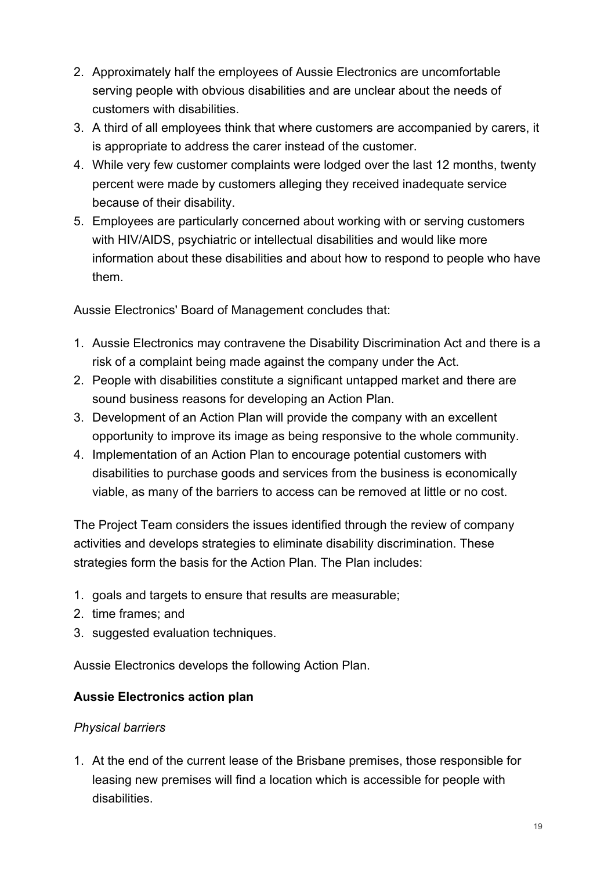- 2. Approximately half the employees of Aussie Electronics are uncomfortable serving people with obvious disabilities and are unclear about the needs of customers with disabilities.
- 3. A third of all employees think that where customers are accompanied by carers, it is appropriate to address the carer instead of the customer.
- 4. While very few customer complaints were lodged over the last 12 months, twenty percent were made by customers alleging they received inadequate service because of their disability.
- 5. Employees are particularly concerned about working with or serving customers with HIV/AIDS, psychiatric or intellectual disabilities and would like more information about these disabilities and about how to respond to people who have them.

Aussie Electronics' Board of Management concludes that:

- 1. Aussie Electronics may contravene the Disability Discrimination Act and there is a risk of a complaint being made against the company under the Act.
- 2. People with disabilities constitute a significant untapped market and there are sound business reasons for developing an Action Plan.
- 3. Development of an Action Plan will provide the company with an excellent opportunity to improve its image as being responsive to the whole community.
- 4. Implementation of an Action Plan to encourage potential customers with disabilities to purchase goods and services from the business is economically viable, as many of the barriers to access can be removed at little or no cost.

The Project Team considers the issues identified through the review of company activities and develops strategies to eliminate disability discrimination. These strategies form the basis for the Action Plan. The Plan includes:

- 1. goals and targets to ensure that results are measurable;
- 2. time frames; and
- 3. suggested evaluation techniques.

Aussie Electronics develops the following Action Plan.

#### **Aussie Electronics action plan**

#### *Physical barriers*

1. At the end of the current lease of the Brisbane premises, those responsible for leasing new premises will find a location which is accessible for people with disabilities.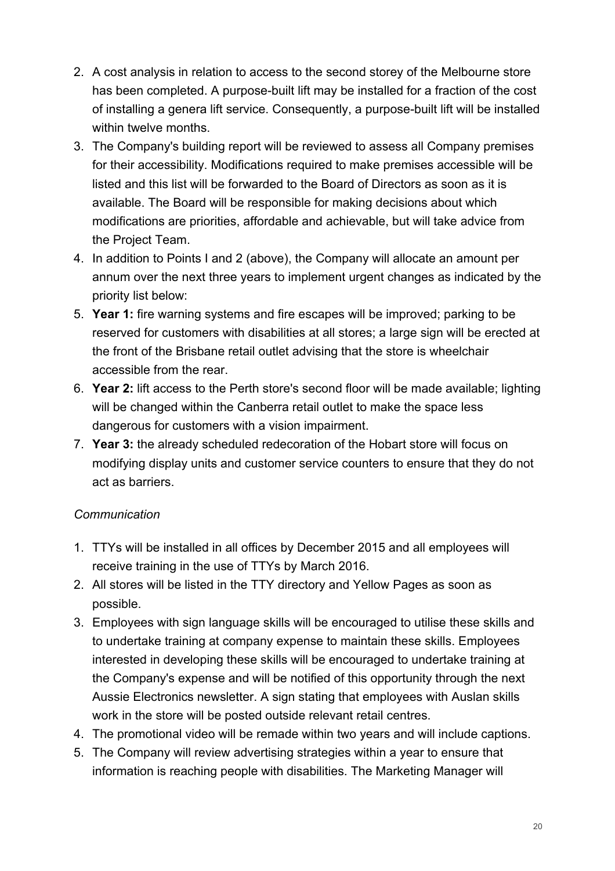- 2. A cost analysis in relation to access to the second storey of the Melbourne store has been completed. A purpose-built lift may be installed for a fraction of the cost of installing a genera lift service. Consequently, a purpose-built lift will be installed within twelve months.
- 3. The Company's building report will be reviewed to assess all Company premises for their accessibility. Modifications required to make premises accessible will be listed and this list will be forwarded to the Board of Directors as soon as it is available. The Board will be responsible for making decisions about which modifications are priorities, affordable and achievable, but will take advice from the Project Team.
- 4. In addition to Points I and 2 (above), the Company will allocate an amount per annum over the next three years to implement urgent changes as indicated by the priority list below:
- 5. **Year 1:** fire warning systems and fire escapes will be improved; parking to be reserved for customers with disabilities at all stores; a large sign will be erected at the front of the Brisbane retail outlet advising that the store is wheelchair accessible from the rear.
- 6. **Year 2:** lift access to the Perth store's second floor will be made available; lighting will be changed within the Canberra retail outlet to make the space less dangerous for customers with a vision impairment.
- 7. **Year 3:** the already scheduled redecoration of the Hobart store will focus on modifying display units and customer service counters to ensure that they do not act as barriers.

## *Communication*

- 1. TTYs will be installed in all offices by December 2015 and all employees will receive training in the use of TTYs by March 2016.
- 2. All stores will be listed in the TTY directory and Yellow Pages as soon as possible.
- 3. Employees with sign language skills will be encouraged to utilise these skills and to undertake training at company expense to maintain these skills. Employees interested in developing these skills will be encouraged to undertake training at the Company's expense and will be notified of this opportunity through the next Aussie Electronics newsletter. A sign stating that employees with Auslan skills work in the store will be posted outside relevant retail centres.
- 4. The promotional video will be remade within two years and will include captions.
- 5. The Company will review advertising strategies within a year to ensure that information is reaching people with disabilities. The Marketing Manager will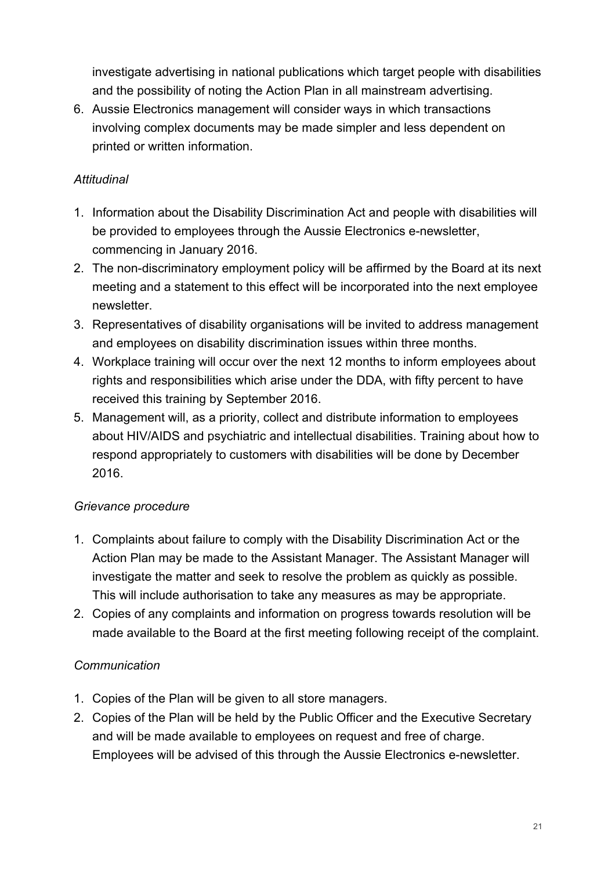investigate advertising in national publications which target people with disabilities and the possibility of noting the Action Plan in all mainstream advertising.

6. Aussie Electronics management will consider ways in which transactions involving complex documents may be made simpler and less dependent on printed or written information.

## *Attitudinal*

- 1. Information about the Disability Discrimination Act and people with disabilities will be provided to employees through the Aussie Electronics e-newsletter, commencing in January 2016.
- 2. The non-discriminatory employment policy will be affirmed by the Board at its next meeting and a statement to this effect will be incorporated into the next employee newsletter.
- 3. Representatives of disability organisations will be invited to address management and employees on disability discrimination issues within three months.
- 4. Workplace training will occur over the next 12 months to inform employees about rights and responsibilities which arise under the DDA, with fifty percent to have received this training by September 2016.
- 5. Management will, as a priority, collect and distribute information to employees about HIV/AIDS and psychiatric and intellectual disabilities. Training about how to respond appropriately to customers with disabilities will be done by December 2016.

## *Grievance procedure*

- 1. Complaints about failure to comply with the Disability Discrimination Act or the Action Plan may be made to the Assistant Manager. The Assistant Manager will investigate the matter and seek to resolve the problem as quickly as possible. This will include authorisation to take any measures as may be appropriate.
- 2. Copies of any complaints and information on progress towards resolution will be made available to the Board at the first meeting following receipt of the complaint.

## *Communication*

- 1. Copies of the Plan will be given to all store managers.
- 2. Copies of the Plan will be held by the Public Officer and the Executive Secretary and will be made available to employees on request and free of charge. Employees will be advised of this through the Aussie Electronics e-newsletter.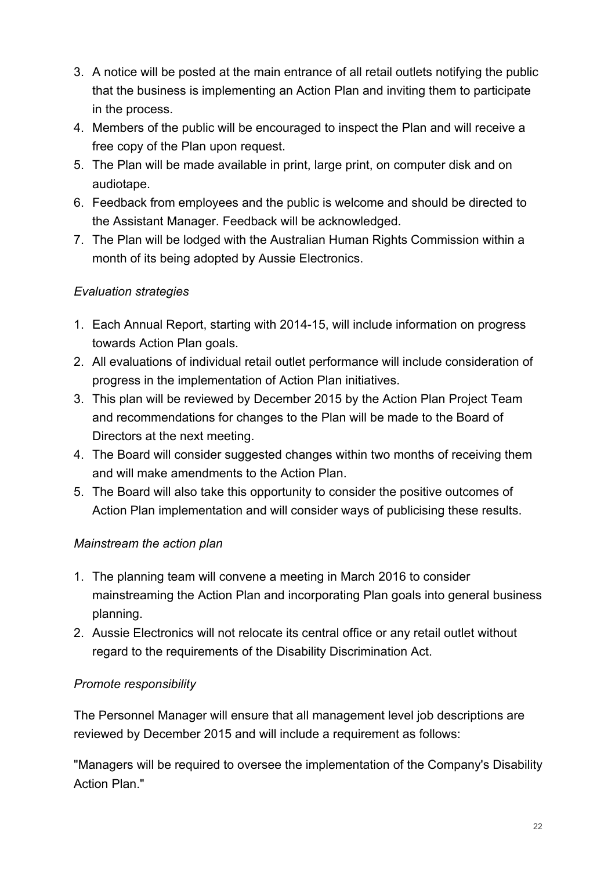- 3. A notice will be posted at the main entrance of all retail outlets notifying the public that the business is implementing an Action Plan and inviting them to participate in the process.
- 4. Members of the public will be encouraged to inspect the Plan and will receive a free copy of the Plan upon request.
- 5. The Plan will be made available in print, large print, on computer disk and on audiotape.
- 6. Feedback from employees and the public is welcome and should be directed to the Assistant Manager. Feedback will be acknowledged.
- 7. The Plan will be lodged with the Australian Human Rights Commission within a month of its being adopted by Aussie Electronics.

## *Evaluation strategies*

- 1. Each Annual Report, starting with 2014-15, will include information on progress towards Action Plan goals.
- 2. All evaluations of individual retail outlet performance will include consideration of progress in the implementation of Action Plan initiatives.
- 3. This plan will be reviewed by December 2015 by the Action Plan Project Team and recommendations for changes to the Plan will be made to the Board of Directors at the next meeting.
- 4. The Board will consider suggested changes within two months of receiving them and will make amendments to the Action Plan.
- 5. The Board will also take this opportunity to consider the positive outcomes of Action Plan implementation and will consider ways of publicising these results.

## *Mainstream the action plan*

- 1. The planning team will convene a meeting in March 2016 to consider mainstreaming the Action Plan and incorporating Plan goals into general business planning.
- 2. Aussie Electronics will not relocate its central office or any retail outlet without regard to the requirements of the Disability Discrimination Act.

## *Promote responsibility*

The Personnel Manager will ensure that all management level job descriptions are reviewed by December 2015 and will include a requirement as follows:

"Managers will be required to oversee the implementation of the Company's Disability Action Plan."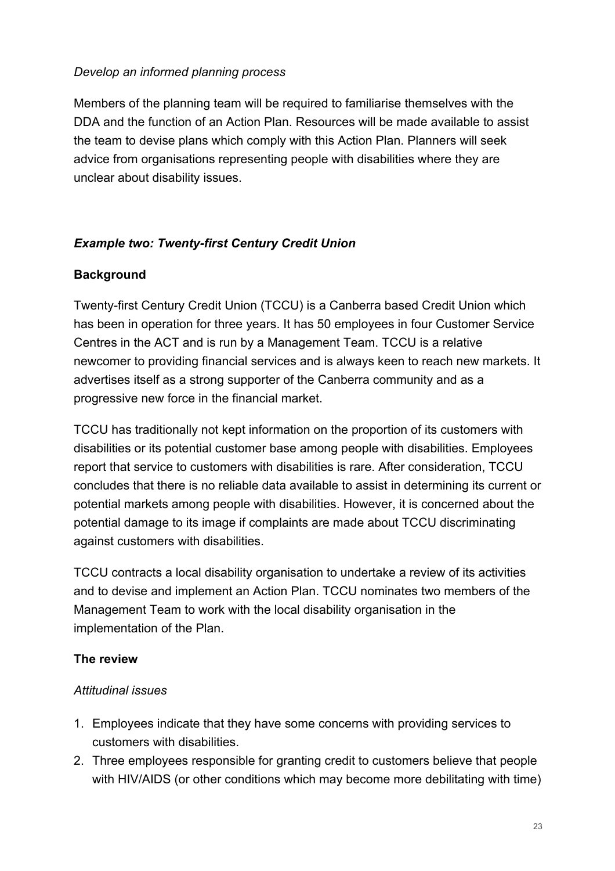#### *Develop an informed planning process*

Members of the planning team will be required to familiarise themselves with the DDA and the function of an Action Plan. Resources will be made available to assist the team to devise plans which comply with this Action Plan. Planners will seek advice from organisations representing people with disabilities where they are unclear about disability issues.

#### *Example two: Twenty-first Century Credit Union*

#### **Background**

Twenty-first Century Credit Union (TCCU) is a Canberra based Credit Union which has been in operation for three years. It has 50 employees in four Customer Service Centres in the ACT and is run by a Management Team. TCCU is a relative newcomer to providing financial services and is always keen to reach new markets. It advertises itself as a strong supporter of the Canberra community and as a progressive new force in the financial market.

TCCU has traditionally not kept information on the proportion of its customers with disabilities or its potential customer base among people with disabilities. Employees report that service to customers with disabilities is rare. After consideration, TCCU concludes that there is no reliable data available to assist in determining its current or potential markets among people with disabilities. However, it is concerned about the potential damage to its image if complaints are made about TCCU discriminating against customers with disabilities.

TCCU contracts a local disability organisation to undertake a review of its activities and to devise and implement an Action Plan. TCCU nominates two members of the Management Team to work with the local disability organisation in the implementation of the Plan.

#### **The review**

## *Attitudinal issues*

- 1. Employees indicate that they have some concerns with providing services to customers with disabilities.
- 2. Three employees responsible for granting credit to customers believe that people with HIV/AIDS (or other conditions which may become more debilitating with time)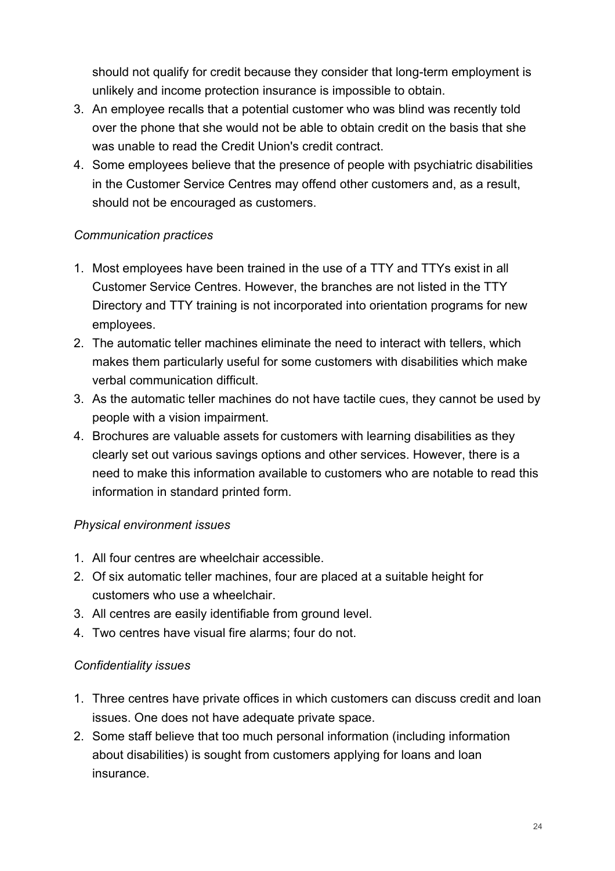should not qualify for credit because they consider that long-term employment is unlikely and income protection insurance is impossible to obtain.

- 3. An employee recalls that a potential customer who was blind was recently told over the phone that she would not be able to obtain credit on the basis that she was unable to read the Credit Union's credit contract.
- 4. Some employees believe that the presence of people with psychiatric disabilities in the Customer Service Centres may offend other customers and, as a result, should not be encouraged as customers.

#### *Communication practices*

- 1. Most employees have been trained in the use of a TTY and TTYs exist in all Customer Service Centres. However, the branches are not listed in the TTY Directory and TTY training is not incorporated into orientation programs for new employees.
- 2. The automatic teller machines eliminate the need to interact with tellers, which makes them particularly useful for some customers with disabilities which make verbal communication difficult.
- 3. As the automatic teller machines do not have tactile cues, they cannot be used by people with a vision impairment.
- 4. Brochures are valuable assets for customers with learning disabilities as they clearly set out various savings options and other services. However, there is a need to make this information available to customers who are notable to read this information in standard printed form.

#### *Physical environment issues*

- 1. All four centres are wheelchair accessible.
- 2. Of six automatic teller machines, four are placed at a suitable height for customers who use a wheelchair.
- 3. All centres are easily identifiable from ground level.
- 4. Two centres have visual fire alarms; four do not.

## *Confidentiality issues*

- 1. Three centres have private offices in which customers can discuss credit and loan issues. One does not have adequate private space.
- 2. Some staff believe that too much personal information (including information about disabilities) is sought from customers applying for loans and loan insurance.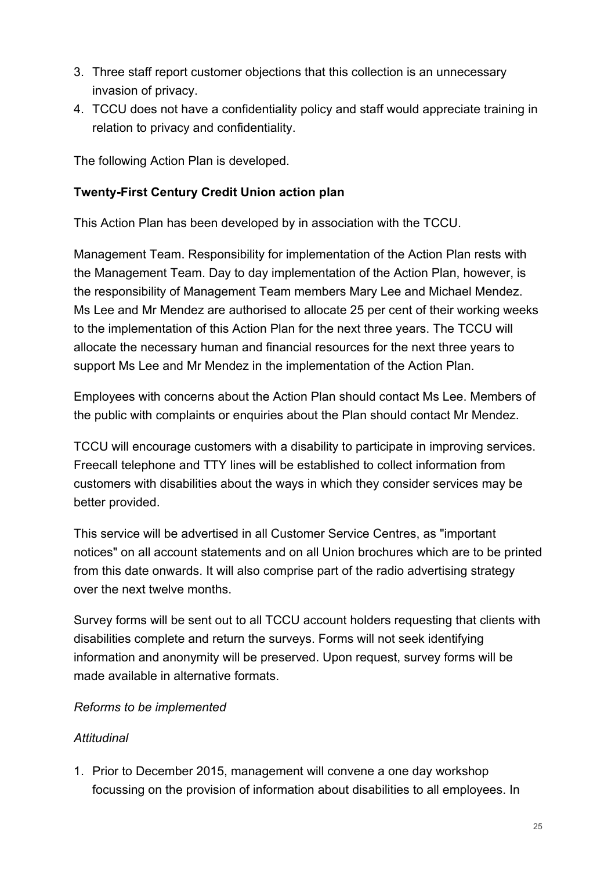- 3. Three staff report customer objections that this collection is an unnecessary invasion of privacy.
- 4. TCCU does not have a confidentiality policy and staff would appreciate training in relation to privacy and confidentiality.

The following Action Plan is developed.

#### **Twenty-First Century Credit Union action plan**

This Action Plan has been developed by in association with the TCCU.

Management Team. Responsibility for implementation of the Action Plan rests with the Management Team. Day to day implementation of the Action Plan, however, is the responsibility of Management Team members Mary Lee and Michael Mendez. Ms Lee and Mr Mendez are authorised to allocate 25 per cent of their working weeks to the implementation of this Action Plan for the next three years. The TCCU will allocate the necessary human and financial resources for the next three years to support Ms Lee and Mr Mendez in the implementation of the Action Plan.

Employees with concerns about the Action Plan should contact Ms Lee. Members of the public with complaints or enquiries about the Plan should contact Mr Mendez.

TCCU will encourage customers with a disability to participate in improving services. Freecall telephone and TTY lines will be established to collect information from customers with disabilities about the ways in which they consider services may be better provided.

This service will be advertised in all Customer Service Centres, as "important notices" on all account statements and on all Union brochures which are to be printed from this date onwards. It will also comprise part of the radio advertising strategy over the next twelve months.

Survey forms will be sent out to all TCCU account holders requesting that clients with disabilities complete and return the surveys. Forms will not seek identifying information and anonymity will be preserved. Upon request, survey forms will be made available in alternative formats.

#### *Reforms to be implemented*

## *Attitudinal*

1. Prior to December 2015, management will convene a one day workshop focussing on the provision of information about disabilities to all employees. In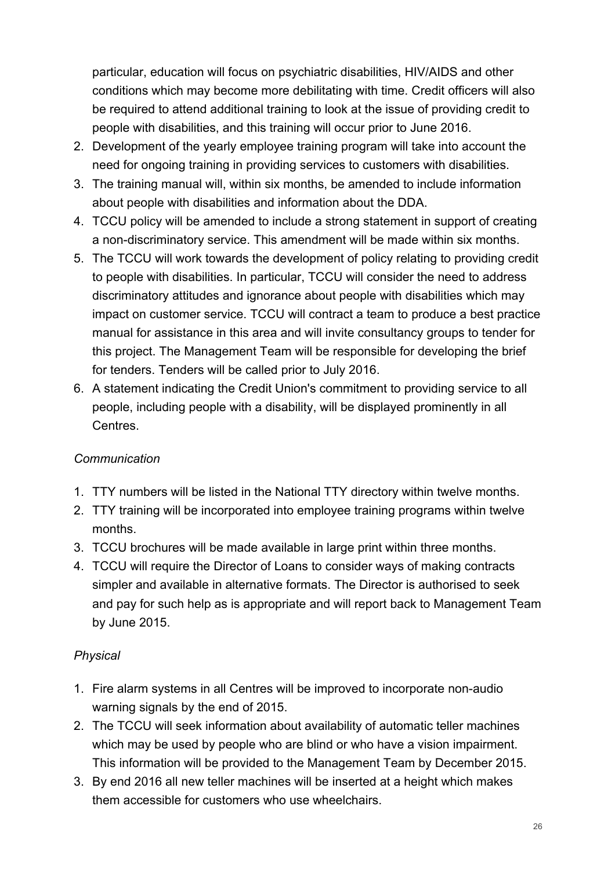particular, education will focus on psychiatric disabilities, HIV/AIDS and other conditions which may become more debilitating with time. Credit officers will also be required to attend additional training to look at the issue of providing credit to people with disabilities, and this training will occur prior to June 2016.

- 2. Development of the yearly employee training program will take into account the need for ongoing training in providing services to customers with disabilities.
- 3. The training manual will, within six months, be amended to include information about people with disabilities and information about the DDA.
- 4. TCCU policy will be amended to include a strong statement in support of creating a non-discriminatory service. This amendment will be made within six months.
- 5. The TCCU will work towards the development of policy relating to providing credit to people with disabilities. In particular, TCCU will consider the need to address discriminatory attitudes and ignorance about people with disabilities which may impact on customer service. TCCU will contract a team to produce a best practice manual for assistance in this area and will invite consultancy groups to tender for this project. The Management Team will be responsible for developing the brief for tenders. Tenders will be called prior to July 2016.
- 6. A statement indicating the Credit Union's commitment to providing service to all people, including people with a disability, will be displayed prominently in all Centres.

## *Communication*

- 1. TTY numbers will be listed in the National TTY directory within twelve months.
- 2. TTY training will be incorporated into employee training programs within twelve months.
- 3. TCCU brochures will be made available in large print within three months.
- 4. TCCU will require the Director of Loans to consider ways of making contracts simpler and available in alternative formats. The Director is authorised to seek and pay for such help as is appropriate and will report back to Management Team by June 2015.

#### *Physical*

- 1. Fire alarm systems in all Centres will be improved to incorporate non-audio warning signals by the end of 2015.
- 2. The TCCU will seek information about availability of automatic teller machines which may be used by people who are blind or who have a vision impairment. This information will be provided to the Management Team by December 2015.
- 3. By end 2016 all new teller machines will be inserted at a height which makes them accessible for customers who use wheelchairs.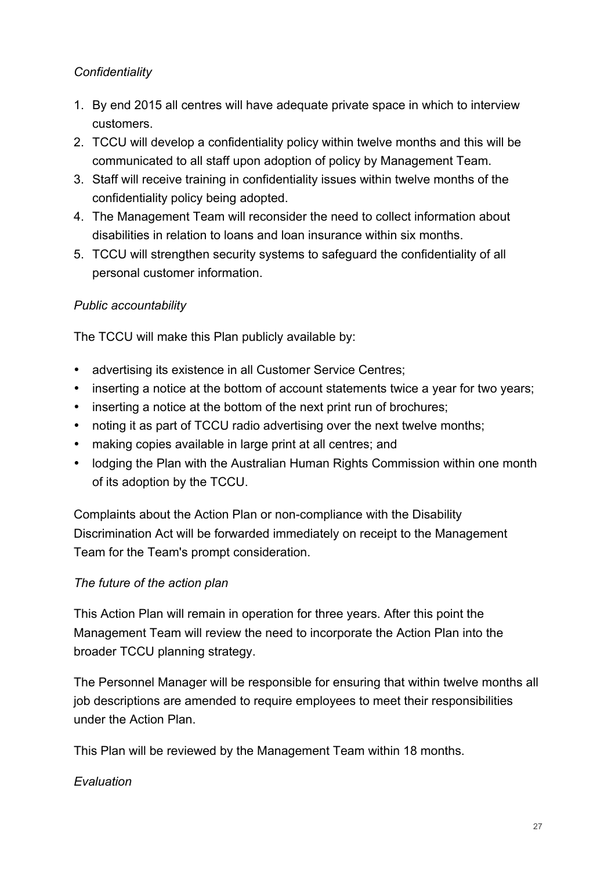## *Confidentiality*

- 1. By end 2015 all centres will have adequate private space in which to interview customers.
- 2. TCCU will develop a confidentiality policy within twelve months and this will be communicated to all staff upon adoption of policy by Management Team.
- 3. Staff will receive training in confidentiality issues within twelve months of the confidentiality policy being adopted.
- 4. The Management Team will reconsider the need to collect information about disabilities in relation to loans and loan insurance within six months.
- 5. TCCU will strengthen security systems to safeguard the confidentiality of all personal customer information.

## *Public accountability*

The TCCU will make this Plan publicly available by:

- advertising its existence in all Customer Service Centres;
- inserting a notice at the bottom of account statements twice a year for two years;
- inserting a notice at the bottom of the next print run of brochures;
- noting it as part of TCCU radio advertising over the next twelve months;
- making copies available in large print at all centres; and
- lodging the Plan with the Australian Human Rights Commission within one month of its adoption by the TCCU.

Complaints about the Action Plan or non-compliance with the Disability Discrimination Act will be forwarded immediately on receipt to the Management Team for the Team's prompt consideration.

#### *The future of the action plan*

This Action Plan will remain in operation for three years. After this point the Management Team will review the need to incorporate the Action Plan into the broader TCCU planning strategy.

The Personnel Manager will be responsible for ensuring that within twelve months all job descriptions are amended to require employees to meet their responsibilities under the Action Plan.

This Plan will be reviewed by the Management Team within 18 months.

#### *Evaluation*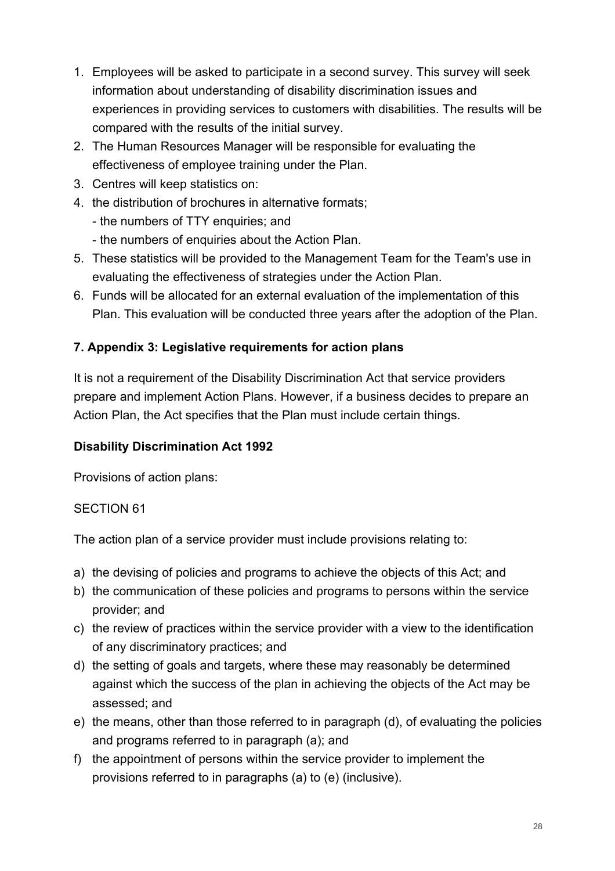- 1. Employees will be asked to participate in a second survey. This survey will seek information about understanding of disability discrimination issues and experiences in providing services to customers with disabilities. The results will be compared with the results of the initial survey.
- 2. The Human Resources Manager will be responsible for evaluating the effectiveness of employee training under the Plan.
- 3. Centres will keep statistics on:
- 4. the distribution of brochures in alternative formats;
	- the numbers of TTY enquiries; and
	- the numbers of enquiries about the Action Plan.
- 5. These statistics will be provided to the Management Team for the Team's use in evaluating the effectiveness of strategies under the Action Plan.
- 6. Funds will be allocated for an external evaluation of the implementation of this Plan. This evaluation will be conducted three years after the adoption of the Plan.

## **7. Appendix 3: Legislative requirements for action plans**

It is not a requirement of the Disability Discrimination Act that service providers prepare and implement Action Plans. However, if a business decides to prepare an Action Plan, the Act specifies that the Plan must include certain things.

## **Disability Discrimination Act 1992**

Provisions of action plans:

## SECTION 61

The action plan of a service provider must include provisions relating to:

- a) the devising of policies and programs to achieve the objects of this Act; and
- b) the communication of these policies and programs to persons within the service provider; and
- c) the review of practices within the service provider with a view to the identification of any discriminatory practices; and
- d) the setting of goals and targets, where these may reasonably be determined against which the success of the plan in achieving the objects of the Act may be assessed; and
- e) the means, other than those referred to in paragraph (d), of evaluating the policies and programs referred to in paragraph (a); and
- f) the appointment of persons within the service provider to implement the provisions referred to in paragraphs (a) to (e) (inclusive).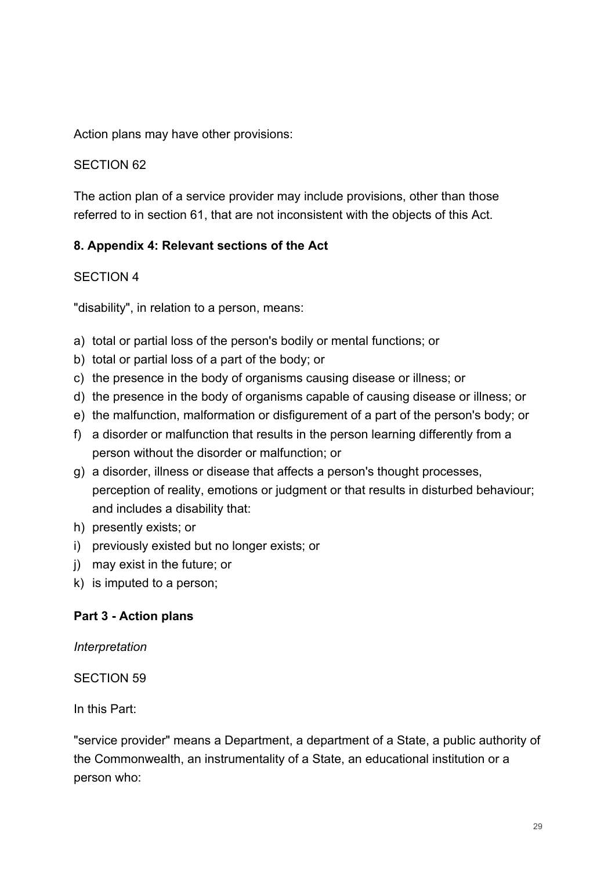Action plans may have other provisions:

#### SECTION 62

The action plan of a service provider may include provisions, other than those referred to in section 61, that are not inconsistent with the objects of this Act.

#### **8. Appendix 4: Relevant sections of the Act**

#### SECTION 4

"disability", in relation to a person, means:

- a) total or partial loss of the person's bodily or mental functions; or
- b) total or partial loss of a part of the body; or
- c) the presence in the body of organisms causing disease or illness; or
- d) the presence in the body of organisms capable of causing disease or illness; or
- e) the malfunction, malformation or disfigurement of a part of the person's body; or
- f) a disorder or malfunction that results in the person learning differently from a person without the disorder or malfunction; or
- g) a disorder, illness or disease that affects a person's thought processes, perception of reality, emotions or judgment or that results in disturbed behaviour; and includes a disability that:
- h) presently exists; or
- i) previously existed but no longer exists; or
- j) may exist in the future; or
- k) is imputed to a person;

#### **Part 3 - Action plans**

*Interpretation*

SECTION 59

In this Part:

"service provider" means a Department, a department of a State, a public authority of the Commonwealth, an instrumentality of a State, an educational institution or a person who: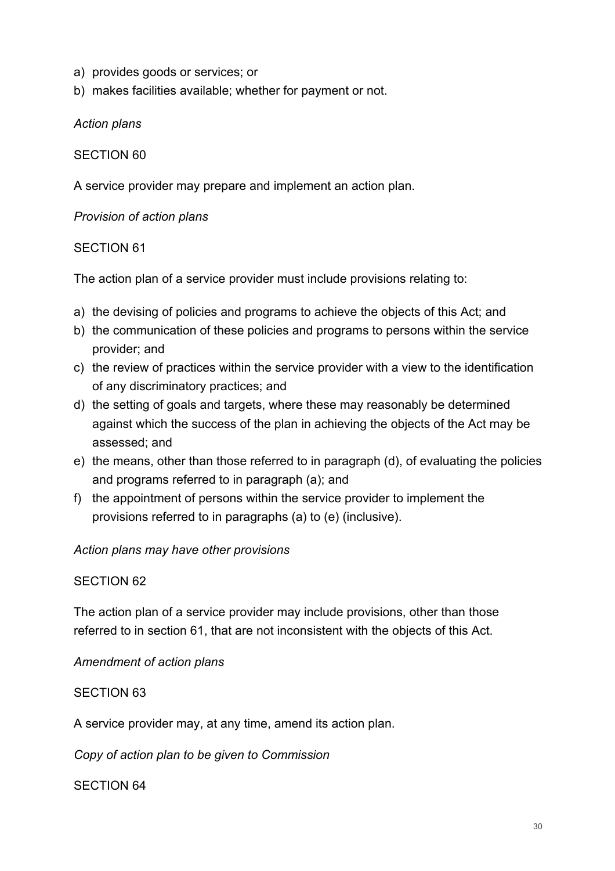- a) provides goods or services; or
- b) makes facilities available; whether for payment or not.

*Action plans*

#### SECTION 60

A service provider may prepare and implement an action plan.

*Provision of action plans*

#### SECTION 61

The action plan of a service provider must include provisions relating to:

- a) the devising of policies and programs to achieve the objects of this Act; and
- b) the communication of these policies and programs to persons within the service provider; and
- c) the review of practices within the service provider with a view to the identification of any discriminatory practices; and
- d) the setting of goals and targets, where these may reasonably be determined against which the success of the plan in achieving the objects of the Act may be assessed; and
- e) the means, other than those referred to in paragraph (d), of evaluating the policies and programs referred to in paragraph (a); and
- f) the appointment of persons within the service provider to implement the provisions referred to in paragraphs (a) to (e) (inclusive).

#### *Action plans may have other provisions*

#### SECTION 62

The action plan of a service provider may include provisions, other than those referred to in section 61, that are not inconsistent with the objects of this Act.

*Amendment of action plans*

#### SECTION 63

A service provider may, at any time, amend its action plan.

*Copy of action plan to be given to Commission*

#### SECTION 64